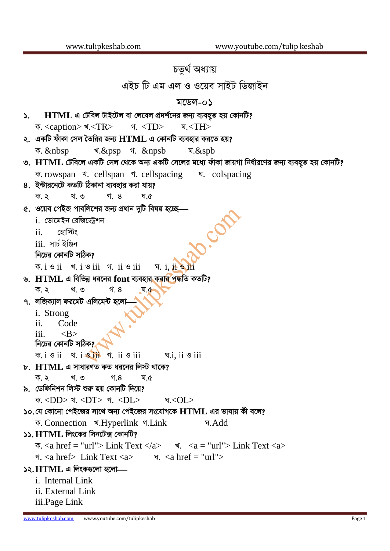## চতুৰ্থ অধ্যায়

এইচ টি এম এল ও ওয়েব সাইট ডিজাইন

## মডেল-০১

| $HTML$ এ টেবিল টাইটেল বা লেবেল প্রদর্শনের জন্য ব্যবহৃত হয় কোনটি?<br>$\mathcal{L}$                                                |
|-----------------------------------------------------------------------------------------------------------------------------------|
|                                                                                                                                   |
| ২.  একটি ফাঁকা সেল তৈরির জন্য $\bf{HTML}$ এ কোনটি ব্যবহার করতে হয়?                                                               |
| $\overline{\phi}$ . $\overline{\phi}$ . &psp $\overline{\phi}$ . &npsb $\overline{\phi}$ . &spb                                   |
| ৩. HTML টেবিলে একটি সেল থেকে অন্য একটি সেলের মধ্যে ফাঁকা জায়গা নির্ধারণের জন্য ব্যবহৃত হয় কোনটি?                                |
| क. rowspan र eellspan न cellspacing प. colspacing                                                                                 |
| ৪. ইন্টারনেটে কতটি ঠিকানা ব্যবহার করা যায়?                                                                                       |
| ক.২ খ.৩ গ.৪<br>ঘ.৫                                                                                                                |
| ৫. ওয়েব পেইজ পাবলিশের জন্য প্রধান দুটি বিষয় হচ্ছে—                                                                              |
| i. ডোমেইন রেজিস্ট্রেশন                                                                                                            |
| $ii.$ হোস্টিং                                                                                                                     |
| $\overline{\text{iii}}$ . সার্চ ইঞ্জিন                                                                                            |
| নিচের কোনটি সঠিক?                                                                                                                 |
| $\overline{p}$ . i $\overline{q}$ ii $\overline{q}$ ii $\overline{q}$ ii $\overline{q}$ iii $\overline{q}$ iii $\overline{q}$ iii |
| ৬. HTML এ বিভিন্ন ধরনের font ব্যবহার করা <mark>র পৃদ্ধ</mark> তি কতটি?                                                            |
| ক.২ খ.৩ গ.৪<br>्घ.¢                                                                                                               |
| <b>৭. লজিক্যাল ফরমেট এলিমেন্ট হলো—্</b>                                                                                           |
| i. Strong                                                                                                                         |
| ii.<br>Code                                                                                                                       |
| iii. $\langle B \rangle$                                                                                                          |
| নিচের কোনটি সঠিক?                                                                                                                 |
| ক.iও $\overline{\text{ii}}$ খ.iও $\overline{\text{iii}}$ গ.iiও $\overline{\text{iii}}$<br>ঘ.i, ii ও iii                           |
| $\mathbf{b}$ . $\mathbf{HTML}$ এ সাধারণত কত ধরনের লিস্ট থাকে?                                                                     |
| খ. ৩<br>ক. ২<br>গ.৪<br>घ.৫                                                                                                        |
| ৯. ডেফিনিশন লিস্ট শুরু হয় কোনটি দিয়ে?<br>ক. <dd> খ. <dt> গ. <dl> ঘ.<ol></ol></dl></dt></dd>                                     |
| ১০.যে কোনো পেইজের সাথে অন্য পেইজের সংযোগকে $HTML$ এর ভাষায় কী বলে?                                                               |
| ক. Connection খ.Hyperlink গ.Link<br>ঘ.Add                                                                                         |
| $\mathsf{S}$ : HTML লিংকের সিনটেক্স কোনটি?                                                                                        |
| $\overline{\Phi}$ . <a href="url"> Link Text </a> $\overline{\Phi}$ . <a "url"="" ==""> Link Text <a></a></a>                     |
| <u><math>\tau</math>.</u> <a href=""> Link Text <a> <math>\tau</math>. <a href="url"></a></a></a>                                 |
| $\lambda$ ২. HTML এ লিংকগুলো হলো—                                                                                                 |
| <i>i</i> . Internal Link                                                                                                          |
| ii. External Link                                                                                                                 |
|                                                                                                                                   |

iii.Page Link